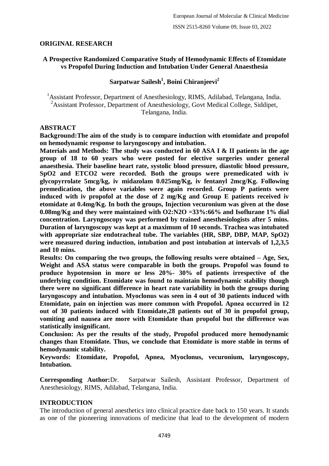## **ORIGINAL RESEARCH**

## **A Prospective Randomized Comparative Study of Hemodynamic Effects of Etomidate vs Propofol During Induction and Intubation Under General Anaesthesia**

# **Sarpatwar Sailesh<sup>1</sup> , Boini Chiranjeevi<sup>2</sup>**

<sup>1</sup> Assistant Professor, Department of Anesthesiology, RIMS, Adilabad, Telangana, India. <sup>2</sup> Assistant Professor, Department of Anesthesiology, Govt Medical College, Siddipet, Telangana, India.

### **ABSTRACT**

**Background:The aim of the study is to compare induction with etomidate and propofol on hemodynamic response to laryngoscopy and intubation.**

**Materials and Methods: The study was conducted in 60 ASA I & II patients in the age group of 18 to 60 years who were posted for elective surgeries under general anaesthesia. Their baseline heart rate, systolic blood pressure, diastolic blood pressure, SpO2 and ETCO2 were recorded. Both the groups were premedicated with iv glycopyrrolate 5mcg/kg, iv midazolam 0.025mg/Kg, iv fentanyl 2mcg/Kg. Following premedication, the above variables were again recorded. Group P patients were induced with iv propofol at the dose of 2 mg/Kg and Group E patients received iv etomidate at 0.4mg/Kg. In both the groups, Injection vecuronium was given at the dose 0.08mg/Kg and they were maintained with O2:N2O =33%:66% and Isoflurane 1% dial concentration. Laryngoscopy was performed by trained anesthesiologists after 5 mins. Duration of laryngoscopy was kept at a maximum of 10 seconds. Trachea was intubated**  with appropriate size endotracheal tube. The variables (HR, SBP, DBP, MAP, SpO2) **were measured during induction, intubation and post intubation at intervals of 1,2,3,5 and 10 mins.**

**Results: On comparing the two groups, the following results were obtained – Age, Sex, Weight and ASA status were comparable in both the groups. Propofol was found to produce hypotension in more or less 20%- 30% of patients irrespective of the underlying condition. Etomidate was found to maintain hemodynamic stability though there were no significant difference in heart rate variability in both the groups during laryngoscopy and intubation. Myoclonus was seen in 4 out of 30 patients induced with Etomidate, pain on injection was more common with Propofol. Apnea occurred in 12 out of 30 patients induced with Etomidate,28 patients out of 30 in propofol group, vomiting and nausea are more with Etomidate than propofol but the difference was statistically insignificant.**

**Conclusion: As per the results of the study, Propofol produced more hemodynamic changes than Etomidate. Thus, we conclude that Etomidate is more stable in terms of hemodynamic stability.**

**Keywords: Etomidate, Propofol, Apnea, Myoclonus, vecuronium, laryngoscopy, Intubation.**

**Corresponding Author:**Dr. Sarpatwar Sailesh, Assistant Professor, Department of Anesthesiology, RIMS, Adilabad, Telangana, India.

## **INTRODUCTION**

The introduction of general anesthetics into clinical practice date back to 150 years. It stands as one of the pioneering innovations of medicine that lead to the development of modern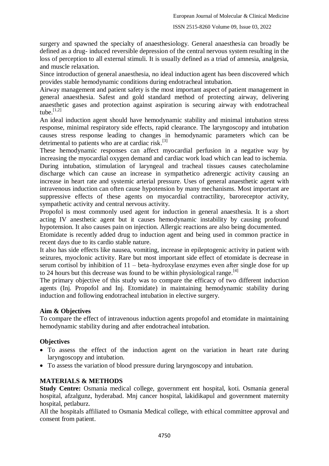surgery and spawned the specialty of anaesthesiology. General anaesthesia can broadly be defined as a drug- induced reversible depression of the central nervous system resulting in the loss of perception to all external stimuli. It is usually defined as a triad of amnesia, analgesia, and muscle relaxation.

Since introduction of general anaesthesia, no ideal induction agent has been discovered which provides stable hemodynamic conditions during endotracheal intubation.

Airway management and patient safety is the most important aspect of patient management in general anaesthesia. Safest and gold standard method of protecting airway, delivering anaesthetic gases and protection against aspiration is securing airway with endotracheal tube. $^{[1,2]}$ 

An ideal induction agent should have hemodynamic stability and minimal intubation stress response, minimal respiratory side effects, rapid clearance. The laryngoscopy and intubation causes stress response leading to changes in hemodynamic parameters which can be detrimental to patients who are at cardiac risk.<sup>[3]</sup>

These hemodynamic responses can affect myocardial perfusion in a negative way by increasing the myocardial oxygen demand and cardiac work load which can lead to ischemia.

During intubation, stimulation of laryngeal and tracheal tissues causes catecholamine discharge which can cause an increase in sympathetico adrenergic activity causing an increase in heart rate and systemic arterial pressure. Uses of general anaesthetic agent with intravenous induction can often cause hypotension by many mechanisms. Most important are suppressive effects of these agents on myocardial contractility, baroreceptor activity, sympathetic activity and central nervous activity.

Propofol is most commonly used agent for induction in general anaesthesia. It is a short acting IV anesthetic agent but it causes hemodynamic instability by causing profound hypotension. It also causes pain on injection. Allergic reactions are also being documented.

Etomidate is recently added drug to induction agent and being used in common practice in recent days due to its cardio stable nature.

It also has side effects like nausea, vomiting, increase in epileptogenic activity in patient with seizures, myoclonic activity. Rare but most important side effect of etomidate is decrease in serum cortisol by inhibition of 11 – beta–hydroxylase enzymes even after single dose for up to 24 hours but this decrease was found to be within physiological range.<sup>[4]</sup>

The primary objective of this study was to compare the efficacy of two different induction agents (Inj. Propofol and Inj. Etomidate) in maintaining hemodynamic stability during induction and following endotracheal intubation in elective surgery.

### **Aim & Objectives**

To compare the effect of intravenous induction agents propofol and etomidate in maintaining hemodynamic stability during and after endotracheal intubation.

### **Objectives**

- To assess the effect of the induction agent on the variation in heart rate during laryngoscopy and intubation.
- To assess the variation of blood pressure during laryngoscopy and intubation.

## **MATERIALS & METHODS**

**Study Centre:** Osmania medical college, government ent hospital, koti. Osmania general hospital, afzalgunz, hyderabad. Mnj cancer hospital, lakidikapul and government maternity hospital, petlaburz.

All the hospitals affiliated to Osmania Medical college, with ethical committee approval and consent from patient.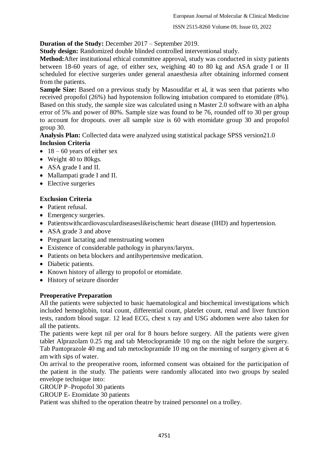ISSN 2515-8260 Volume 09, Issue 03, 2022

## **Duration of the Study:** December 2017 – September 2019.

**Study design:** Randomized double blinded controlled interventional study.

**Method:**After institutional ethical committee approval, study was conducted in sixty patients between 18-60 years of age, of either sex, weighing 40 to 80 kg and ASA grade I or II scheduled for elective surgeries under general anaesthesia after obtaining informed consent from the patients.

**Sample Size:** Based on a previous study by Masoudifar et al, it was seen that patients who received propofol (26%) had hypotension following intubation compared to etomidate (8%). Based on this study, the sample size was calculated using n Master 2.0 software with an alpha error of 5% and power of 80%. Sample size was found to be 76, rounded off to 30 per group to account for dropouts. over all sample size is 60 with etomidate group 30 and propofol group 30.

**Analysis Plan:** Collected data were analyzed using statistical package SPSS version21.0 **Inclusion Criteria**

- $\bullet$  18 60 years of either sex
- Weight 40 to 80 kgs.
- ASA grade I and II.
- Mallampati grade I and II.
- Elective surgeries

## **Exclusion Criteria**

- Patient refusal.
- Emergency surgeries.
- Patientswithcardiovasculardiseaseslikeischemic heart disease (IHD) and hypertension.
- ASA grade 3 and above
- Pregnant lactating and menstruating women
- Existence of considerable pathology in pharynx/larynx.
- Patients on beta blockers and antihypertensive medication.
- Diabetic patients.
- Known history of allergy to propofol or etomidate.
- History of seizure disorder

### **Preoperative Preparation**

All the patients were subjected to basic haematological and biochemical investigations which included hemoglobin, total count, differential count, platelet count, renal and liver function tests, random blood sugar. 12 lead ECG, chest x ray and USG abdomen were also taken for all the patients.

The patients were kept nil per oral for 8 hours before surgery. All the patients were given tablet Alprazolam 0.25 mg and tab Metoclopramide 10 mg on the night before the surgery. Tab Pantoprazole 40 mg and tab metoclopramide 10 mg on the morning of surgery given at 6 am with sips of water.

On arrival to the preoperative room, informed consent was obtained for the participation of the patient in the study. The patients were randomly allocated into two groups by sealed envelope technique into:

GROUP P–Propofol 30 patients

GROUP E- Etomidate 30 patients

Patient was shifted to the operation theatre by trained personnel on a trolley.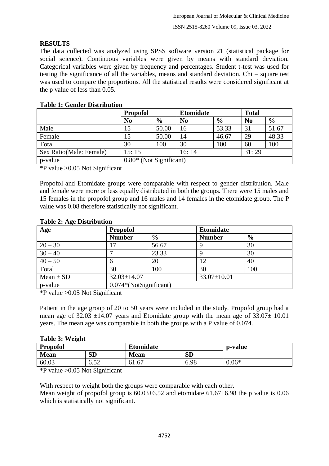# **RESULTS**

The data collected was analyzed using SPSS software version 21 (statistical package for social science). Continuous variables were given by means with standard deviation. Categorical variables were given by frequency and percentages. Student t-test was used for testing the significance of all the variables, means and standard deviation. Chi – square test was used to compare the proportions. All the statistical results were considered significant at the p value of less than 0.05.

|                         | <b>Propofol</b>           |               | <b>Etomidate</b> |               | <b>Total</b>   |               |
|-------------------------|---------------------------|---------------|------------------|---------------|----------------|---------------|
|                         | N <sub>0</sub>            | $\frac{6}{9}$ | N <sub>0</sub>   | $\frac{6}{9}$ | N <sub>0</sub> | $\frac{6}{6}$ |
| Male                    | 15                        | 50.00         | 16               | 53.33         | 31             | 51.67         |
| Female                  | 15                        | 50.00         | 14               | 46.67         | 29             | 48.33         |
| Total                   | 30                        | 100           | 30               | 100           | 60             | 100           |
| Sex Ratio(Male: Female) | 15:15                     |               | 16:14            |               | 31:29          |               |
| p-value                 | $0.80*$ (Not Significant) |               |                  |               |                |               |

## **Table 1: Gender Distribution**

\*P value >0.05 Not Significant

Propofol and Etomidate groups were comparable with respect to gender distribution. Male and female were more or less equally distributed in both the groups. There were 15 males and 15 females in the propofol group and 16 males and 14 females in the etomidate group. The P value was 0.08 therefore statistically not significant.

| Table 2: Age Distribution |                   |                          |                   |               |  |  |  |
|---------------------------|-------------------|--------------------------|-------------------|---------------|--|--|--|
| Age                       | <b>Propofol</b>   |                          | <b>Etomidate</b>  |               |  |  |  |
|                           | <b>Number</b>     | $\frac{6}{6}$            | <b>Number</b>     | $\frac{6}{6}$ |  |  |  |
| $20 - 30$                 |                   | 56.67                    |                   | 30            |  |  |  |
| $30 - 40$                 |                   | 23.33                    |                   | 30            |  |  |  |
| $40 - 50$                 | 6                 | 20                       | 12                | 40            |  |  |  |
| Total                     | 30                | 100                      | 30                | 100           |  |  |  |
| Mean $\pm$ SD             | $32.03 \pm 14.07$ |                          | $33.07 \pm 10.01$ |               |  |  |  |
| p-value                   |                   | $0.074*(NotSignificant)$ |                   |               |  |  |  |

## **Table 2: Age Distribution**

\*P value >0.05 Not Significant

Patient in the age group of 20 to 50 years were included in the study. Propofol group had a mean age of  $32.03 \pm 14.07$  years and Etomidate group with the mean age of  $33.07 \pm 10.01$ years. The mean age was comparable in both the groups with a P value of 0.074.

| <b>Propofol</b><br><b>Etomidate</b> |                     |             | p-value   |         |
|-------------------------------------|---------------------|-------------|-----------|---------|
| <b>Mean</b>                         | SD                  | <b>Mean</b> | <b>SD</b> |         |
| 60.03                               | $5^{\circ}$<br>∪.J∠ | 61.67       | 6.98      | $0.06*$ |

\*P value >0.05 Not Significant

With respect to weight both the groups were comparable with each other. Mean weight of propofol group is  $60.03\pm6.52$  and etomidate  $61.67\pm6.98$  the p value is 0.06 which is statistically not significant.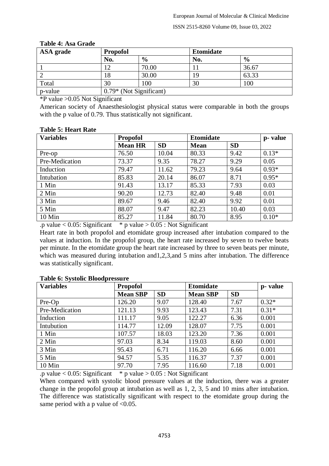#### ISSN 2515-8260 Volume 09, Issue 03, 2022

| ASA grade | <b>Propofol</b>           |               | <b>Etomidate</b> |               |  |
|-----------|---------------------------|---------------|------------------|---------------|--|
|           | No.                       | $\frac{6}{9}$ | No.              | $\frac{6}{9}$ |  |
|           |                           | 70.00         |                  | 36.67         |  |
|           | 18                        | 30.00         | 19               | 63.33         |  |
| Total     | 30                        | 100           | 30               | 100           |  |
| p-value   | $0.79*$ (Not Significant) |               |                  |               |  |

#### **Table 4: Asa Grade**

\*P value >0.05 Not Significant

American society of Anaesthesiologist physical status were comparable in both the groups with the p value of 0.79. Thus statistically not significant.

|  | <b>Table 5: Heart Rate</b> |
|--|----------------------------|
|--|----------------------------|

| <b>Variables</b> | <b>Propofol</b> |           | <b>Etomidate</b> |           | p- value |
|------------------|-----------------|-----------|------------------|-----------|----------|
|                  | <b>Mean HR</b>  | <b>SD</b> | <b>Mean</b>      | <b>SD</b> |          |
| Pre-op           | 76.50           | 10.04     | 80.33            | 9.42      | $0.13*$  |
| Pre-Medication   | 73.37           | 9.35      | 78.27            | 9.29      | 0.05     |
| Induction        | 79.47           | 11.62     | 79.23            | 9.64      | $0.93*$  |
| Intubation       | 85.83           | 20.14     | 86.07            | 8.71      | $0.95*$  |
| 1 Min            | 91.43           | 13.17     | 85.33            | 7.93      | 0.03     |
| 2 Min            | 90.20           | 12.73     | 82.40            | 9.48      | 0.01     |
| 3 Min            | 89.67           | 9.46      | 82.40            | 9.92      | 0.01     |
| 5 Min            | 88.07           | 9.47      | 82.23            | 10.40     | 0.03     |
| 10 Min           | 85.27           | 11.84     | 80.70            | 8.95      | $0.10*$  |

.p value  $< 0.05$ : Significant  $*$  p value  $> 0.05$  : Not Significant

Heart rate in both propofol and etomidate group increased after intubation compared to the values at induction. In the propofol group, the heart rate increased by seven to twelve beats per minute. In the etomidate group the heart rate increased by three to seven beats per minute, which was measured during intubation and 1,2,3, and 5 mins after intubation. The difference was statistically significant.

| <b>Variables</b> | <b>Propofol</b> |           | <b>Etomidate</b> |           | p- value |
|------------------|-----------------|-----------|------------------|-----------|----------|
|                  | <b>Mean SBP</b> | <b>SD</b> | <b>Mean SBP</b>  | <b>SD</b> |          |
| Pre-Op           | 126.20          | 9.07      | 128.40           | 7.67      | $0.32*$  |
| Pre-Medication   | 121.13          | 9.93      | 123.43           | 7.31      | $0.31*$  |
| Induction        | 111.17          | 9.05      | 122.27           | 6.36      | 0.001    |
| Intubution       | 114.77          | 12.09     | 128.07           | 7.75      | 0.001    |
| 1 Min            | 107.57          | 18.03     | 123.20           | 7.36      | 0.001    |
| 2 Min            | 97.03           | 8.34      | 119.03           | 8.60      | 0.001    |
| 3 Min            | 95.43           | 6.71      | 116.20           | 6.66      | 0.001    |
| 5 Min            | 94.57           | 5.35      | 116.37           | 7.37      | 0.001    |
| 10 Min           | 97.70           | 7.95      | 116.60           | 7.18      | 0.001    |

#### **Table 6: Systolic Bloodpressure**

.p value  $< 0.05$ : Significant \* p value  $> 0.05$  : Not Significant

When compared with systolic blood pressure values at the induction, there was a greater change in the propofol group at intubation as well as 1, 2, 3, 5 and 10 mins after intubation. The difference was statistically significant with respect to the etomidate group during the same period with a p value of  $< 0.05$ .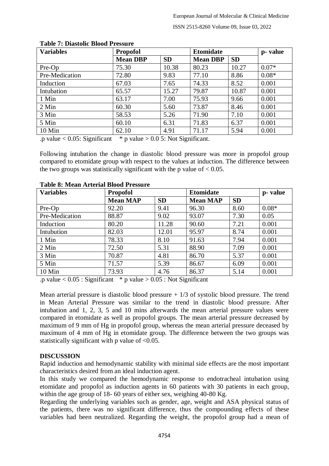| <b>Variables</b> | <b>Propofol</b> |           | <b>Etomidate</b> |           | p-value |
|------------------|-----------------|-----------|------------------|-----------|---------|
|                  | <b>Mean DBP</b> | <b>SD</b> | <b>Mean DBP</b>  | <b>SD</b> |         |
| Pre-Op           | 75.30           | 10.38     | 80.23            | 10.27     | $0.07*$ |
| Pre-Medication   | 72.80           | 9.83      | 77.10            | 8.86      | $0.08*$ |
| Induction        | 67.03           | 7.65      | 74.33            | 8.52      | 0.001   |
| Intubation       | 65.57           | 15.27     | 79.87            | 10.87     | 0.001   |
| 1 Min            | 63.17           | 7.00      | 75.93            | 9.66      | 0.001   |
| 2 Min            | 60.30           | 5.60      | 73.87            | 8.46      | 0.001   |
| 3 Min            | 58.53           | 5.26      | 71.90            | 7.10      | 0.001   |
| 5 Min            | 60.10           | 6.31      | 71.83            | 6.37      | 0.001   |
| 10 Min           | 62.10           | 4.91      | 71.17            | 5.94      | 0.001   |

### **Table 7: Diastolic Blood Pressure**

.p value < 0.05: Significant  $*$  p value > 0.0 5: Not Significant.

Following intubation the change in diastolic blood pressure was more in propofol group compared to etomidate group with respect to the values at induction. The difference between the two groups was statistically significant with the p value of  $< 0.05$ .

| <b>Variables</b> | <b>Propofol</b> |           | <b>Etomidate</b> |           | p- value |
|------------------|-----------------|-----------|------------------|-----------|----------|
|                  | <b>Mean MAP</b> | <b>SD</b> | <b>Mean MAP</b>  | <b>SD</b> |          |
| Pre-Op           | 92.20           | 9.41      | 96.30            | 8.60      | $0.08*$  |
| Pre-Medication   | 88.87           | 9.02      | 93.07            | 7.30      | 0.05     |
| Induction        | 80.20           | 11.28     | 90.60            | 7.21      | 0.001    |
| Intubution       | 82.03           | 12.01     | 95.97            | 8.74      | 0.001    |
| 1 Min            | 78.33           | 8.10      | 91.63            | 7.94      | 0.001    |
| 2 Min            | 72.50           | 5.31      | 88.90            | 7.09      | 0.001    |
| 3 Min            | 70.87           | 4.81      | 86.70            | 5.37      | 0.001    |
| 5 Min            | 71.57           | 5.39      | 86.67            | 6.09      | 0.001    |
| 10 Min           | 73.93           | 4.76      | 86.37            | 5.14      | 0.001    |

### **Table 8: Mean Arterial Blood Pressure**

.p value  $< 0.05$ : Significant \* p value  $> 0.05$ : Not Significant

Mean arterial pressure is diastolic blood pressure  $+1/3$  of systolic blood pressure. The trend in Mean Arterial Pressure was similar to the trend in diastolic blood pressure. After intubation and 1, 2, 3, 5 and 10 mins afterwards the mean arterial pressure values were compared in etomidate as well as propofol groups. The mean arterial pressure decreased by maximum of 9 mm of Hg in propofol group, whereas the mean arterial pressure deceased by maximum of 4 mm of Hg in etomidate group. The difference between the two groups was statistically significant with p value of <0.05.

## **DISCUSSION**

Rapid induction and hemodynamic stability with minimal side effects are the most important characteristics desired from an ideal induction agent.

In this study we compared the hemodynamic response to endotracheal intubation using etomidate and propofol as induction agents in 60 patients with 30 patients in each group, within the age group of 18- 60 years of either sex, weighing 40-80 Kg.

Regarding the underlying variables such as gender, age, weight and ASA physical status of the patients, there was no significant difference, thus the compounding effects of these variables had been neutralized. Regarding the weight, the propofol group had a mean of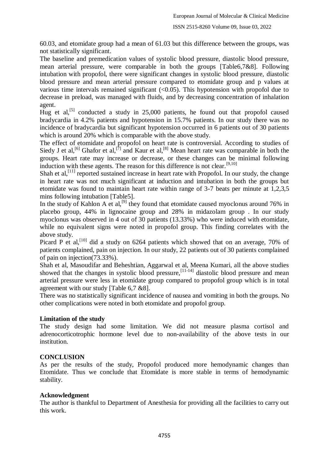60.03, and etomidate group had a mean of 61.03 but this difference between the groups, was not statistically significant.

The baseline and premedication values of systolic blood pressure, diastolic blood pressure, mean arterial pressure, were comparable in both the groups [Table6,7&8]. Following intubation with propofol, there were significant changes in systolic blood pressure, diastolic blood pressure and mean arterial pressure compared to etomidate group and p values at various time intervals remained significant  $\langle 0.05 \rangle$ . This hypotension with propofol due to decrease in preload, was managed with fluids, and by decreasing concentration of inhalation agent.

Hug et al,<sup>[5]</sup> conducted a study in 25,000 patients, he found out that propofol caused bradycardia in 4.2% patients and hypotension in 15.7% patients. In our study there was no incidence of bradycardia but significant hypotension occurred in 6 patients out of 30 patients which is around 20% which is comparable with the above study.

The effect of etomidate and propofol on heart rate is controversial. According to studies of Siedy J et al,<sup>[6]</sup> Ghafor et al,<sup>[7]</sup> and Kaur et al,<sup>[8]</sup> Mean heart rate was comparable in both the groups. Heart rate may increase or decrease, or these changes can be minimal following induction with these agents. The reason for this difference is not clear.  $[9,10]$ 

Shah et al,<sup>[11]</sup> reported sustained increase in heart rate with Propofol. In our study, the change in heart rate was not much significant at induction and intubation in both the groups but etomidate was found to maintain heart rate within range of 3-7 beats per minute at 1,2,3,5 mins following intubation [Table5].

In the study of Kahlon A et al,<sup>[9]</sup> they found that etomidate caused myoclonus around 76% in placebo group, 44% in lignocaine group and 28% in midazolam group . In our study myoclonus was observed in 4 out of 30 patients (13.33%) who were induced with etomidate, while no equivalent signs were noted in propofol group. This finding correlates with the above study.

Picard P et al,<sup>[10]</sup> did a study on 6264 patients which showed that on an average, 70% of patients complained, pain on injection. In our study, 22 patients out of 30 patients complained of pain on injection(73.33%).

Shah et al, Masoudifar and Beheshtian, Aggarwal et al, Meena Kumari, all the above studies showed that the changes in systolic blood pressure, $\begin{bmatrix} 11-14 \end{bmatrix}$  diastolic blood pressure and mean arterial pressure were less in etomidate group compared to propofol group which is in total agreement with our study [Table 6,7 &8].

There was no statistically significant incidence of nausea and vomiting in both the groups. No other complications were noted in both etomidate and propofol group.

## **Limitation of the study**

The study design had some limitation. We did not measure plasma cortisol and adrenocorticotrophic hormone level due to non-availability of the above tests in our institution.

## **CONCLUSION**

As per the results of the study, Propofol produced more hemodynamic changes than Etomidate. Thus we conclude that Etomidate is more stable in terms of hemodynamic stability.

## **Acknowledgment**

The author is thankful to Department of Anesthesia for providing all the facilities to carry out this work.